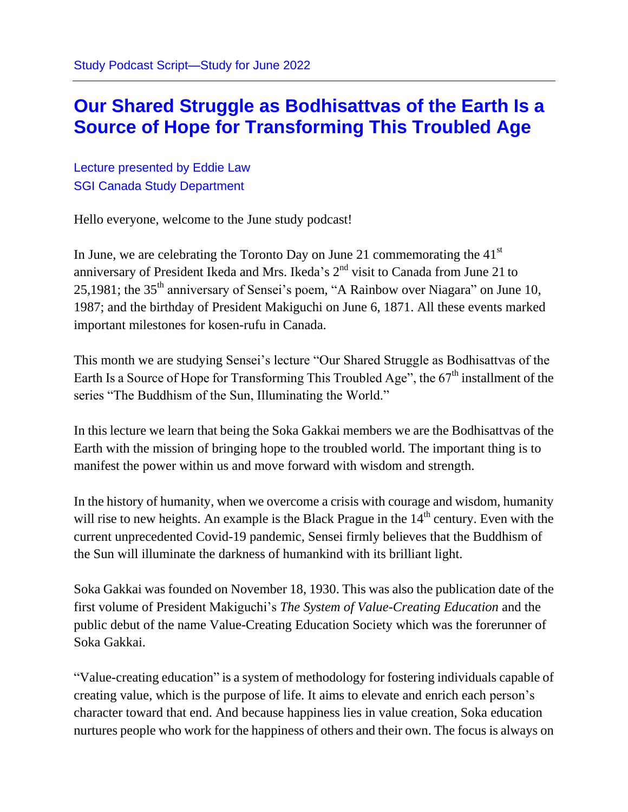## **Our Shared Struggle as Bodhisattvas of the Earth Is a Source of Hope for Transforming This Troubled Age**

Lecture presented by Eddie Law SGI Canada Study Department

Hello everyone, welcome to the June study podcast!

In June, we are celebrating the Toronto Day on June 21 commemorating the  $41<sup>st</sup>$ anniversary of President Ikeda and Mrs. Ikeda's 2<sup>nd</sup> visit to Canada from June 21 to 25,1981; the 35<sup>th</sup> anniversary of Sensei's poem, "A Rainbow over Niagara" on June 10, 1987; and the birthday of President Makiguchi on June 6, 1871. All these events marked important milestones for kosen-rufu in Canada.

This month we are studying Sensei's lecture "Our Shared Struggle as Bodhisattvas of the Earth Is a Source of Hope for Transforming This Troubled Age", the  $67<sup>th</sup>$  installment of the series "The Buddhism of the Sun, Illuminating the World."

In this lecture we learn that being the Soka Gakkai members we are the Bodhisattvas of the Earth with the mission of bringing hope to the troubled world. The important thing is to manifest the power within us and move forward with wisdom and strength.

In the history of humanity, when we overcome a crisis with courage and wisdom, humanity will rise to new heights. An example is the Black Prague in the  $14<sup>th</sup>$  century. Even with the current unprecedented Covid-19 pandemic, Sensei firmly believes that the Buddhism of the Sun will illuminate the darkness of humankind with its brilliant light.

Soka Gakkai was founded on November 18, 1930. This was also the publication date of the first volume of President Makiguchi's *The System of Value-Creating Education* and the public debut of the name Value-Creating Education Society which was the forerunner of Soka Gakkai.

"Value-creating education" is a system of methodology for fostering individuals capable of creating value, which is the purpose of life. It aims to elevate and enrich each person's character toward that end. And because happiness lies in value creation, Soka education nurtures people who work for the happiness of others and their own. The focus is always on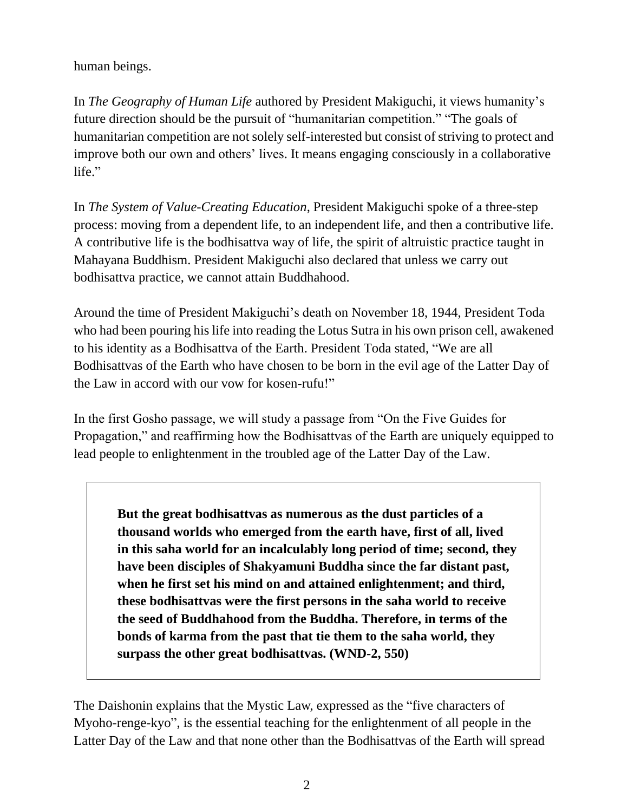human beings.

In *The Geography of Human Life* authored by President Makiguchi, it views humanity's future direction should be the pursuit of "humanitarian competition." "The goals of humanitarian competition are not solely self-interested but consist of striving to protect and improve both our own and others' lives. It means engaging consciously in a collaborative life."

In *The System of Value-Creating Education*, President Makiguchi spoke of a three-step process: moving from a dependent life, to an independent life, and then a contributive life. A contributive life is the bodhisattva way of life, the spirit of altruistic practice taught in Mahayana Buddhism. President Makiguchi also declared that unless we carry out bodhisattva practice, we cannot attain Buddhahood.

Around the time of President Makiguchi's death on November 18, 1944, President Toda who had been pouring his life into reading the Lotus Sutra in his own prison cell, awakened to his identity as a Bodhisattva of the Earth. President Toda stated, "We are all Bodhisattvas of the Earth who have chosen to be born in the evil age of the Latter Day of the Law in accord with our vow for kosen-rufu!"

In the first Gosho passage, we will study a passage from "On the Five Guides for Propagation," and reaffirming how the Bodhisattvas of the Earth are uniquely equipped to lead people to enlightenment in the troubled age of the Latter Day of the Law.

**But the great bodhisattvas as numerous as the dust particles of a thousand worlds who emerged from the earth have, first of all, lived in this saha world for an incalculably long period of time; second, they have been disciples of Shakyamuni Buddha since the far distant past, when he first set his mind on and attained enlightenment; and third, these bodhisattvas were the first persons in the saha world to receive the seed of Buddhahood from the Buddha. Therefore, in terms of the bonds of karma from the past that tie them to the saha world, they surpass the other great bodhisattvas. (WND-2, 550)**

The Daishonin explains that the Mystic Law, expressed as the "five characters of Myoho-renge-kyo", is the essential teaching for the enlightenment of all people in the Latter Day of the Law and that none other than the Bodhisattvas of the Earth will spread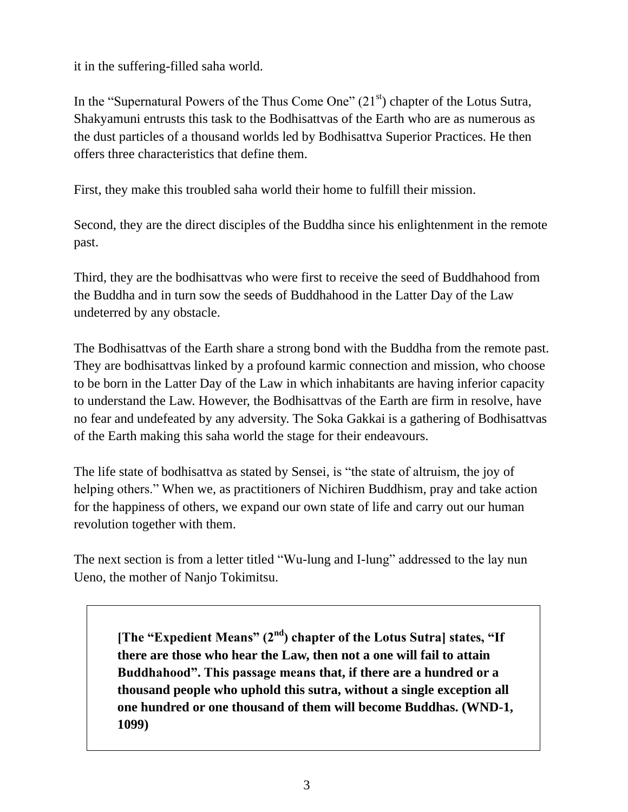it in the suffering-filled saha world.

In the "Supernatural Powers of the Thus Come One"  $(21<sup>st</sup>)$  chapter of the Lotus Sutra, Shakyamuni entrusts this task to the Bodhisattvas of the Earth who are as numerous as the dust particles of a thousand worlds led by Bodhisattva Superior Practices. He then offers three characteristics that define them.

First, they make this troubled saha world their home to fulfill their mission.

Second, they are the direct disciples of the Buddha since his enlightenment in the remote past.

Third, they are the bodhisattvas who were first to receive the seed of Buddhahood from the Buddha and in turn sow the seeds of Buddhahood in the Latter Day of the Law undeterred by any obstacle.

The Bodhisattvas of the Earth share a strong bond with the Buddha from the remote past. They are bodhisattvas linked by a profound karmic connection and mission, who choose to be born in the Latter Day of the Law in which inhabitants are having inferior capacity to understand the Law. However, the Bodhisattvas of the Earth are firm in resolve, have no fear and undefeated by any adversity. The Soka Gakkai is a gathering of Bodhisattvas of the Earth making this saha world the stage for their endeavours.

The life state of bodhisattva as stated by Sensei, is "the state of altruism, the joy of helping others." When we, as practitioners of Nichiren Buddhism, pray and take action for the happiness of others, we expand our own state of life and carry out our human revolution together with them.

The next section is from a letter titled "Wu-lung and I-lung" addressed to the lay nun Ueno, the mother of Nanjo Tokimitsu.

**[The "Expedient Means" (2nd) chapter of the Lotus Sutra] states, "If there are those who hear the Law, then not a one will fail to attain Buddhahood". This passage means that, if there are a hundred or a thousand people who uphold this sutra, without a single exception all one hundred or one thousand of them will become Buddhas. (WND-1, 1099)**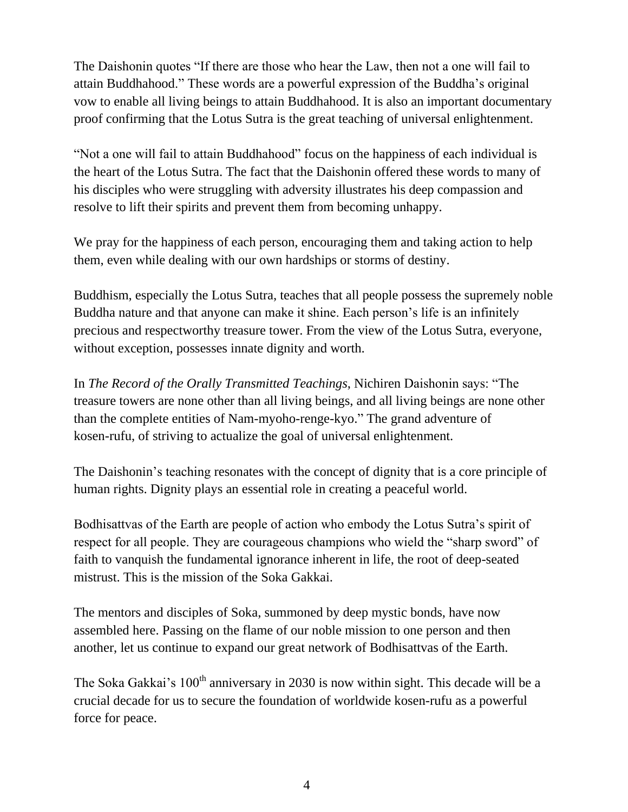The Daishonin quotes "If there are those who hear the Law, then not a one will fail to attain Buddhahood." These words are a powerful expression of the Buddha's original vow to enable all living beings to attain Buddhahood. It is also an important documentary proof confirming that the Lotus Sutra is the great teaching of universal enlightenment.

"Not a one will fail to attain Buddhahood" focus on the happiness of each individual is the heart of the Lotus Sutra. The fact that the Daishonin offered these words to many of his disciples who were struggling with adversity illustrates his deep compassion and resolve to lift their spirits and prevent them from becoming unhappy.

We pray for the happiness of each person, encouraging them and taking action to help them, even while dealing with our own hardships or storms of destiny.

Buddhism, especially the Lotus Sutra, teaches that all people possess the supremely noble Buddha nature and that anyone can make it shine. Each person's life is an infinitely precious and respectworthy treasure tower. From the view of the Lotus Sutra, everyone, without exception, possesses innate dignity and worth.

In *The Record of the Orally Transmitted Teachings*, Nichiren Daishonin says: "The treasure towers are none other than all living beings, and all living beings are none other than the complete entities of Nam-myoho-renge-kyo." The grand adventure of kosen-rufu, of striving to actualize the goal of universal enlightenment.

The Daishonin's teaching resonates with the concept of dignity that is a core principle of human rights. Dignity plays an essential role in creating a peaceful world.

Bodhisattvas of the Earth are people of action who embody the Lotus Sutra's spirit of respect for all people. They are courageous champions who wield the "sharp sword" of faith to vanquish the fundamental ignorance inherent in life, the root of deep-seated mistrust. This is the mission of the Soka Gakkai.

The mentors and disciples of Soka, summoned by deep mystic bonds, have now assembled here. Passing on the flame of our noble mission to one person and then another, let us continue to expand our great network of Bodhisattvas of the Earth.

The Soka Gakkai's  $100<sup>th</sup>$  anniversary in 2030 is now within sight. This decade will be a crucial decade for us to secure the foundation of worldwide kosen-rufu as a powerful force for peace.